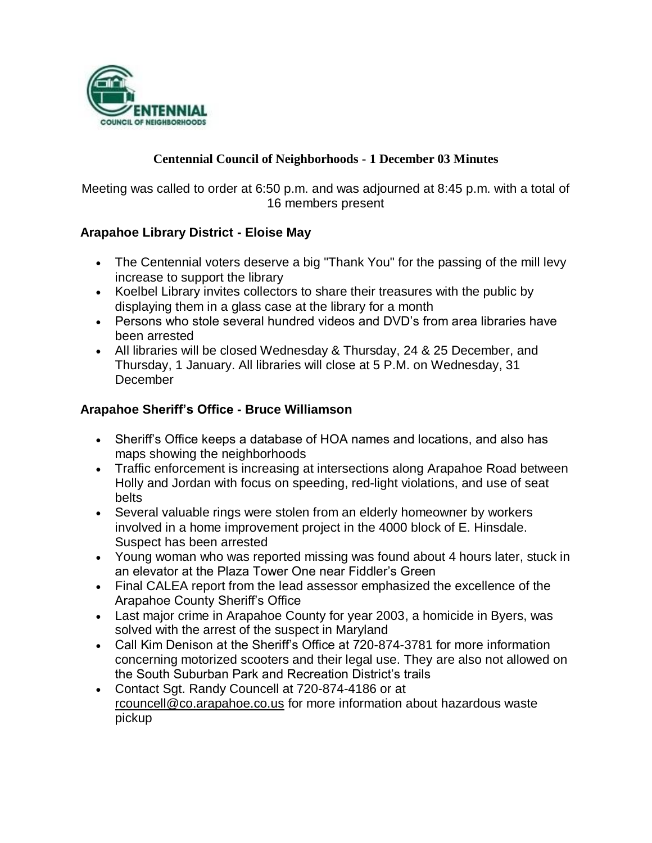

### **Centennial Council of Neighborhoods - 1 December 03 Minutes**

Meeting was called to order at 6:50 p.m. and was adjourned at 8:45 p.m. with a total of 16 members present

### **Arapahoe Library District - Eloise May**

- The Centennial voters deserve a big "Thank You" for the passing of the mill levy increase to support the library
- Koelbel Library invites collectors to share their treasures with the public by displaying them in a glass case at the library for a month
- Persons who stole several hundred videos and DVD's from area libraries have been arrested
- All libraries will be closed Wednesday & Thursday, 24 & 25 December, and Thursday, 1 January. All libraries will close at 5 P.M. on Wednesday, 31 **December**

### **Arapahoe Sheriff's Office - Bruce Williamson**

- Sheriff's Office keeps a database of HOA names and locations, and also has maps showing the neighborhoods
- Traffic enforcement is increasing at intersections along Arapahoe Road between Holly and Jordan with focus on speeding, red-light violations, and use of seat belts
- Several valuable rings were stolen from an elderly homeowner by workers involved in a home improvement project in the 4000 block of E. Hinsdale. Suspect has been arrested
- Young woman who was reported missing was found about 4 hours later, stuck in an elevator at the Plaza Tower One near Fiddler's Green
- Final CALEA report from the lead assessor emphasized the excellence of the Arapahoe County Sheriff's Office
- Last major crime in Arapahoe County for year 2003, a homicide in Byers, was solved with the arrest of the suspect in Maryland
- Call Kim Denison at the Sheriff's Office at 720-874-3781 for more information concerning motorized scooters and their legal use. They are also not allowed on the South Suburban Park and Recreation District's trails
- Contact Sgt. Randy Councell at 720-874-4186 or at rcouncell@co.arapahoe.co.us for more information about hazardous waste pickup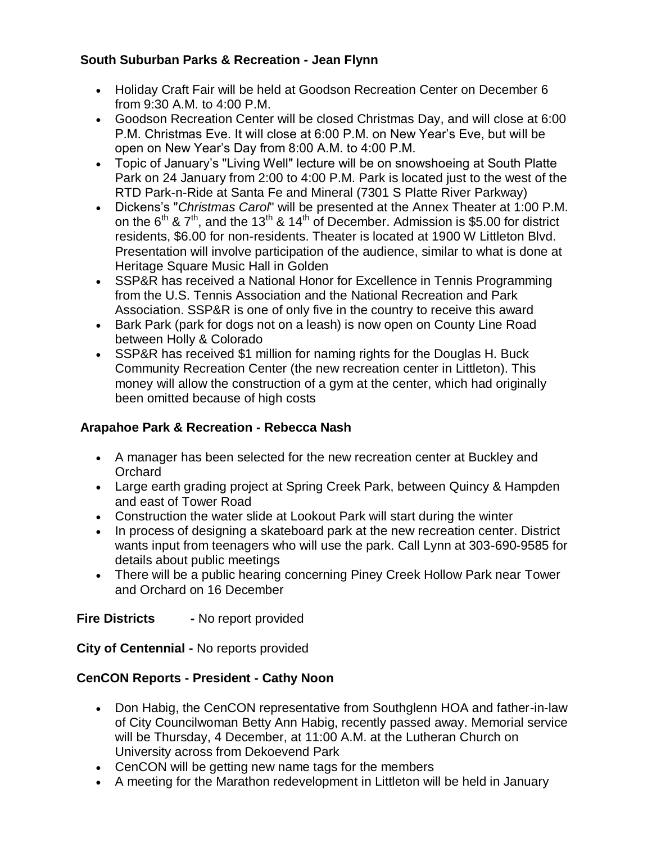## **South Suburban Parks & Recreation - Jean Flynn**

- Holiday Craft Fair will be held at Goodson Recreation Center on December 6 from 9:30 A.M. to 4:00 P.M.
- Goodson Recreation Center will be closed Christmas Day, and will close at 6:00 P.M. Christmas Eve. It will close at 6:00 P.M. on New Year's Eve, but will be open on New Year's Day from 8:00 A.M. to 4:00 P.M.
- Topic of January's "Living Well" lecture will be on snowshoeing at South Platte Park on 24 January from 2:00 to 4:00 P.M. Park is located just to the west of the RTD Park-n-Ride at Santa Fe and Mineral (7301 S Platte River Parkway)
- Dickens's "*Christmas Carol*" will be presented at the Annex Theater at 1:00 P.M. on the  $6<sup>th</sup>$  &  $7<sup>th</sup>$ , and the 13<sup>th</sup> & 14<sup>th</sup> of December. Admission is \$5.00 for district residents, \$6.00 for non-residents. Theater is located at 1900 W Littleton Blvd. Presentation will involve participation of the audience, similar to what is done at Heritage Square Music Hall in Golden
- SSP&R has received a National Honor for Excellence in Tennis Programming from the U.S. Tennis Association and the National Recreation and Park Association. SSP&R is one of only five in the country to receive this award
- Bark Park (park for dogs not on a leash) is now open on County Line Road between Holly & Colorado
- SSP&R has received \$1 million for naming rights for the Douglas H. Buck Community Recreation Center (the new recreation center in Littleton). This money will allow the construction of a gym at the center, which had originally been omitted because of high costs

# **Arapahoe Park & Recreation - Rebecca Nash**

- A manager has been selected for the new recreation center at Buckley and **Orchard**
- Large earth grading project at Spring Creek Park, between Quincy & Hampden and east of Tower Road
- Construction the water slide at Lookout Park will start during the winter
- In process of designing a skateboard park at the new recreation center. District wants input from teenagers who will use the park. Call Lynn at 303-690-9585 for details about public meetings
- There will be a public hearing concerning Piney Creek Hollow Park near Tower and Orchard on 16 December

**Fire Districts** - No report provided

**City of Centennial -** No reports provided

# **CenCON Reports - President - Cathy Noon**

- Don Habig, the CenCON representative from Southglenn HOA and father-in-law of City Councilwoman Betty Ann Habig, recently passed away. Memorial service will be Thursday, 4 December, at 11:00 A.M. at the Lutheran Church on University across from Dekoevend Park
- CenCON will be getting new name tags for the members
- A meeting for the Marathon redevelopment in Littleton will be held in January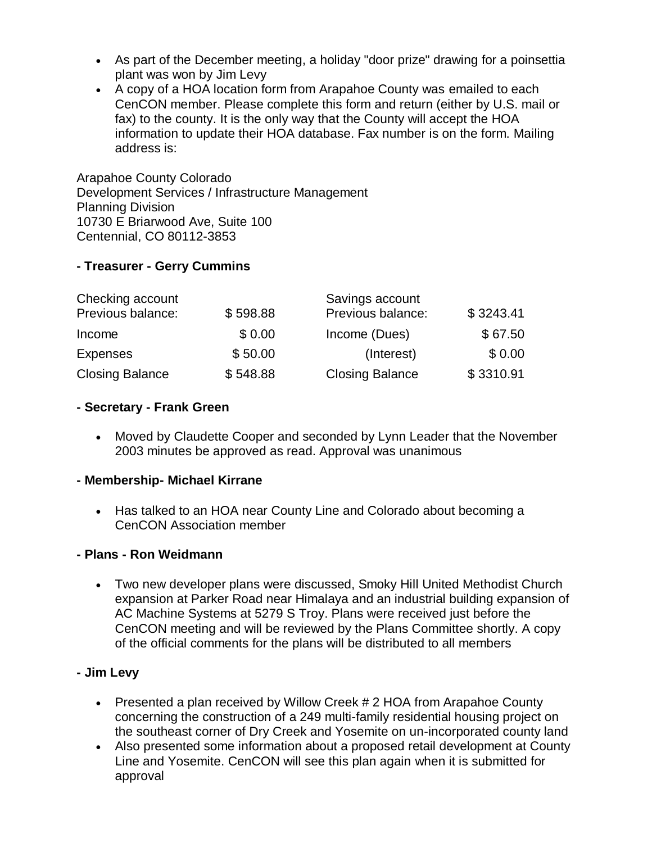- As part of the December meeting, a holiday "door prize" drawing for a poinsettia plant was won by Jim Levy
- A copy of a HOA location form from Arapahoe County was emailed to each CenCON member. Please complete this form and return (either by U.S. mail or fax) to the county. It is the only way that the County will accept the HOA information to update their HOA database. Fax number is on the form. Mailing address is:

Arapahoe County Colorado Development Services / Infrastructure Management Planning Division 10730 E Briarwood Ave, Suite 100 Centennial, CO 80112-3853

### **- Treasurer - Gerry Cummins**

| Checking account       |          | Savings account        |           |
|------------------------|----------|------------------------|-----------|
| Previous balance:      | \$598.88 | Previous balance:      | \$3243.41 |
| Income                 | \$0.00   | Income (Dues)          | \$67.50   |
| <b>Expenses</b>        | \$50.00  | (Interest)             | \$0.00    |
| <b>Closing Balance</b> | \$548.88 | <b>Closing Balance</b> | \$3310.91 |

### **- Secretary - Frank Green**

 Moved by Claudette Cooper and seconded by Lynn Leader that the November 2003 minutes be approved as read. Approval was unanimous

#### **- Membership- Michael Kirrane**

 Has talked to an HOA near County Line and Colorado about becoming a CenCON Association member

#### **- Plans - Ron Weidmann**

 Two new developer plans were discussed, Smoky Hill United Methodist Church expansion at Parker Road near Himalaya and an industrial building expansion of AC Machine Systems at 5279 S Troy. Plans were received just before the CenCON meeting and will be reviewed by the Plans Committee shortly. A copy of the official comments for the plans will be distributed to all members

### **- Jim Levy**

- Presented a plan received by Willow Creek # 2 HOA from Arapahoe County concerning the construction of a 249 multi-family residential housing project on the southeast corner of Dry Creek and Yosemite on un-incorporated county land
- Also presented some information about a proposed retail development at County Line and Yosemite. CenCON will see this plan again when it is submitted for approval